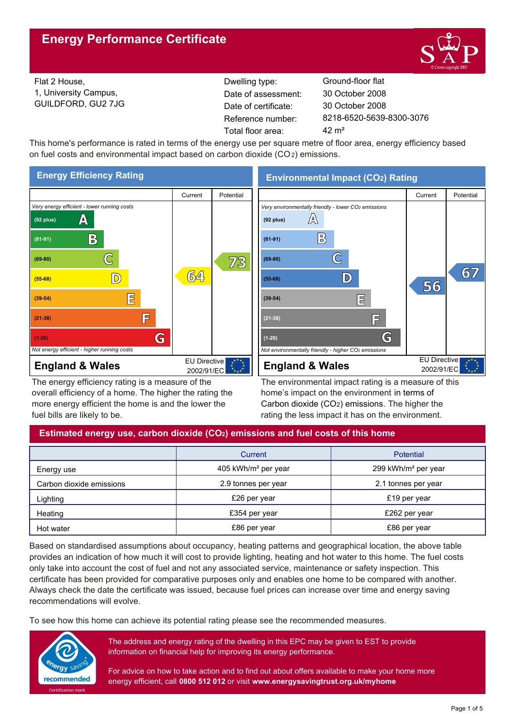

Flat 2 House, 1, University Campus, GUILDFORD, GU2 7JG Reference number: Dwelling type: Ground-floor flat Date of certificate: Total floor area: 42 m<sup>2</sup> Date of assessment:

8218-6520-5639-8300-3076 30 October 2008 30 October 2008

This home's performance is rated in terms of the energy use per square metre of floor area, energy efficiency based on fuel costs and environmental impact based on carbon dioxide (CO2) emissions.



The energy efficiency rating is a measure of the overall efficiency of a home. The higher the rating the more energy efficient the home is and the lower the fuel bills are likely to be.

**Environmental Impact (CO2) Rating**



The environmental impact rating is a measure of this home's impact on the environment in terms of Carbon dioxide (CO2) emissions. The higher the rating the less impact it has on the environment.

# **Estimated energy use, carbon dioxide (CO2) emissions and fuel costs of this home**

|                          | Current                         | <b>Potential</b>                |  |
|--------------------------|---------------------------------|---------------------------------|--|
| Energy use               | 405 kWh/m <sup>2</sup> per year | 299 kWh/m <sup>2</sup> per year |  |
| Carbon dioxide emissions | 2.9 tonnes per year             | 2.1 tonnes per year             |  |
| Lighting                 | £26 per year                    | £19 per year                    |  |
| Heating                  | £354 per year                   | £262 per year                   |  |
| Hot water                | £86 per year                    | £86 per year                    |  |

Based on standardised assumptions about occupancy, heating patterns and geographical location, the above table provides an indication of how much it will cost to provide lighting, heating and hot water to this home. The fuel costs only take into account the cost of fuel and not any associated service, maintenance or safety inspection. This certificate has been provided for comparative purposes only and enables one home to be compared with another. Always check the date the certificate was issued, because fuel prices can increase over time and energy saving recommendations will evolve.

To see how this home can achieve its potential rating please see the recommended measures.



The address and energy rating of the dwelling in this EPC may be given to EST to provide information on financial help for improving its energy performance.

For advice on how to take action and to find out about offers available to make your home more energy efficient, call **0800 512 012** or visit **www.energysavingtrust.org.uk/myhome**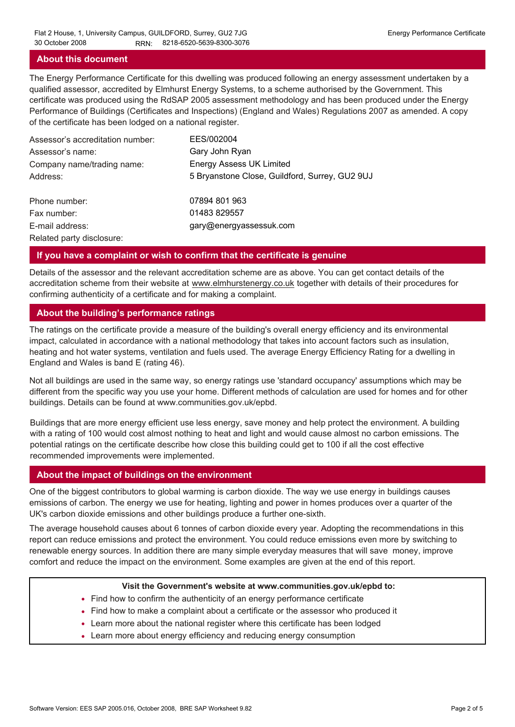# **About this document**

The Energy Performance Certificate for this dwelling was produced following an energy assessment undertaken by a qualified assessor, accredited by Elmhurst Energy Systems, to a scheme authorised by the Government. This certificate was produced using the RdSAP 2005 assessment methodology and has been produced under the Energy Performance of Buildings (Certificates and Inspections) (England and Wales) Regulations 2007 as amended. A copy of the certificate has been lodged on a national register.

| Assessor's accreditation number: | EES/002004                                     |
|----------------------------------|------------------------------------------------|
| Assessor's name:                 | Gary John Ryan                                 |
| Company name/trading name:       | <b>Energy Assess UK Limited</b>                |
| Address:                         | 5 Bryanstone Close, Guildford, Surrey, GU2 9UJ |
| Phone number:                    | 07894 801 963                                  |
| Fax number:                      | 01483 829557                                   |
| E-mail address:                  | gary@energyassessuk.com                        |
| Related party disclosure:        |                                                |

#### **If you have a complaint or wish to confirm that the certificate is genuine**

Details of the assessor and the relevant accreditation scheme are as above. You can get contact details of the accreditation scheme from their website at www.elmhurstenergy.co.uk together with details of their procedures for confirming authenticity of a certificate and for making a complaint.

# **About the building's performance ratings**

The ratings on the certificate provide a measure of the building's overall energy efficiency and its environmental impact, calculated in accordance with a national methodology that takes into account factors such as insulation, heating and hot water systems, ventilation and fuels used. The average Energy Efficiency Rating for a dwelling in England and Wales is band E (rating 46).

Not all buildings are used in the same way, so energy ratings use 'standard occupancy' assumptions which may be different from the specific way you use your home. Different methods of calculation are used for homes and for other buildings. Details can be found at www.communities.gov.uk/epbd.

Buildings that are more energy efficient use less energy, save money and help protect the environment. A building with a rating of 100 would cost almost nothing to heat and light and would cause almost no carbon emissions. The potential ratings on the certificate describe how close this building could get to 100 if all the cost effective recommended improvements were implemented.

#### **About the impact of buildings on the environment**

One of the biggest contributors to global warming is carbon dioxide. The way we use energy in buildings causes emissions of carbon. The energy we use for heating, lighting and power in homes produces over a quarter of the UK's carbon dioxide emissions and other buildings produce a further one-sixth.

The average household causes about 6 tonnes of carbon dioxide every year. Adopting the recommendations in this report can reduce emissions and protect the environment. You could reduce emissions even more by switching to renewable energy sources. In addition there are many simple everyday measures that will save money, improve comfort and reduce the impact on the environment. Some examples are given at the end of this report.

#### **Visit the Government's website at www.communities.gov.uk/epbd to:**

- Find how to confirm the authenticity of an energy performance certificate
- Find how to make a complaint about a certificate or the assessor who produced it •
- Learn more about the national register where this certificate has been lodged •
- Learn more about energy efficiency and reducing energy consumption •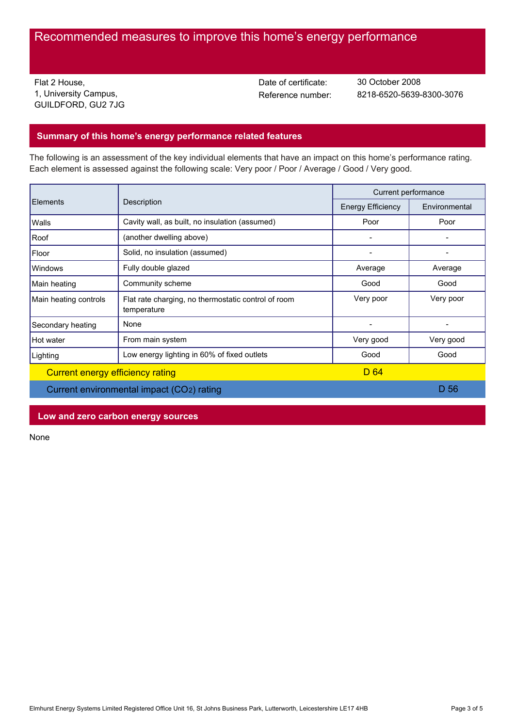# Recommended measures to improve this home's energy performance

Flat 2 House, 1, University Campus, GUILDFORD, GU2 7JG Date of certificate:

Reference number: 8218-6520-5639-8300-3076 30 October 2008

# **Summary of this home's energy performance related features**

The following is an assessment of the key individual elements that have an impact on this home's performance rating. Each element is assessed against the following scale: Very poor / Poor / Average / Good / Very good.

| Elements                                  | Description                                                        | Current performance      |               |
|-------------------------------------------|--------------------------------------------------------------------|--------------------------|---------------|
|                                           |                                                                    | <b>Energy Efficiency</b> | Environmental |
| Walls                                     | Cavity wall, as built, no insulation (assumed)                     | Poor                     | Poor          |
| Roof                                      | (another dwelling above)                                           |                          |               |
| Floor                                     | Solid, no insulation (assumed)                                     |                          |               |
| Windows                                   | Fully double glazed                                                | Average                  | Average       |
| Main heating                              | Community scheme                                                   | Good                     | Good          |
| Main heating controls                     | Flat rate charging, no thermostatic control of room<br>temperature | Very poor                | Very poor     |
| Secondary heating                         | None                                                               |                          |               |
| Hot water                                 | From main system                                                   | Very good                | Very good     |
| Lighting                                  | Low energy lighting in 60% of fixed outlets                        | Good                     | Good          |
| Current energy efficiency rating          |                                                                    | D 64                     |               |
| Current environmental impact (CO2) rating |                                                                    |                          | D 56          |

**Low and zero carbon energy sources**

None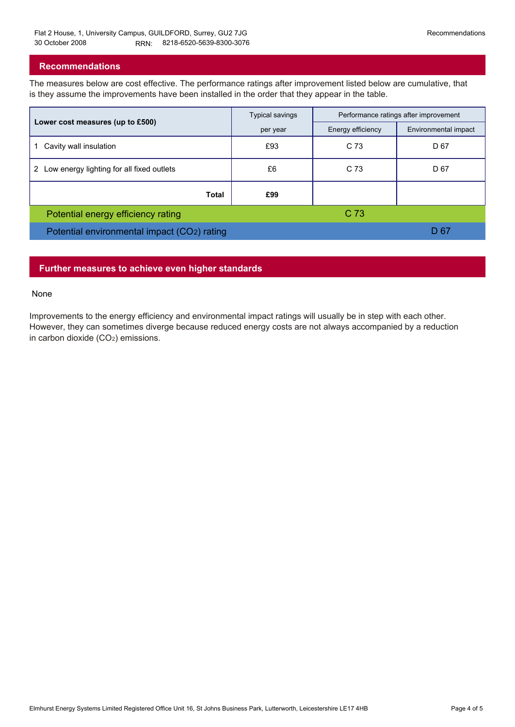# **Recommendations**

The measures below are cost effective. The performance ratings after improvement listed below are cumulative, that is they assume the improvements have been installed in the order that they appear in the table.

|                                                           | <b>Typical savings</b> | Performance ratings after improvement |                      |
|-----------------------------------------------------------|------------------------|---------------------------------------|----------------------|
| Lower cost measures (up to £500)                          | per year               | Energy efficiency                     | Environmental impact |
| Cavity wall insulation                                    | £93                    | C 73                                  | D 67                 |
| Low energy lighting for all fixed outlets<br>$\mathbf{2}$ | £6                     | C 73                                  | D 67                 |
| Total                                                     | £99                    |                                       |                      |
| Potential energy efficiency rating                        |                        | C 73                                  |                      |
| Potential environmental impact (CO2) rating               |                        |                                       | D 67                 |

# **Further measures to achieve even higher standards**

#### None

Improvements to the energy efficiency and environmental impact ratings will usually be in step with each other. However, they can sometimes diverge because reduced energy costs are not always accompanied by a reduction in carbon dioxide (CO2) emissions.